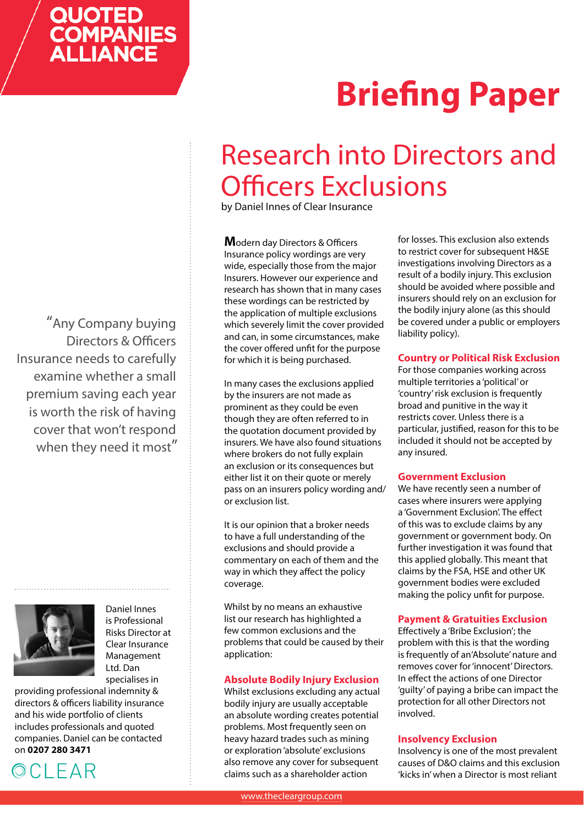## **QUOTED COMPANIES**<br>ALLIANCE

# **Briefing Paper**

### Research into Directors and **Officers Exclusions**

by Daniel Innes of Clear Insurance

**Modern day Directors & Officers** Insurance policy wordings are very wide, especially those from the major Insurers. However our experience and research has shown that in many cases these wordings can be restricted by the application of multiple exclusions which severely limit the cover provided and can, in some circumstances, make the cover offered unfit for the purpose for which it is being purchased.

In many cases the exclusions applied by the insurers are not made as prominent as they could be even though they are often referred to in the quotation document provided by insurers. We have also found situations where brokers do not fully explain an exclusion or its consequences but either list it on their quote or merely pass on an insurers policy wording and/ or exclusion list.

It is our opinion that a broker needs to have a full understanding of the exclusions and should provide a commentary on each of them and the way in which they affect the policy coverage.

Whilst by no means an exhaustive list our research has highlighted a few common exclusions and the problems that could be caused by their application:

#### **Absolute Bodily Injury Exclusion**

Whilst exclusions excluding any actual bodily injury are usually acceptable an absolute wording creates potential problems. Most frequently seen on heavy hazard trades such as mining or exploration 'absolute' exclusions also remove any cover for subsequent claims such as a shareholder action

for losses. This exclusion also extends to restrict cover for subsequent H&SE investigations involving Directors as a result of a bodily injury. This exclusion should be avoided where possible and insurers should rely on an exclusion for the bodily injury alone (as this should be covered under a public or employers liability policy).

#### **Country or Political Risk Exclusion**

For those companies working across multiple territories a 'political' or 'country' risk exclusion is frequently broad and punitive in the way it restricts cover. Unless there is a particular, justified, reason for this to be included it should not be accepted by any insured.

#### **Government Exclusion**

We have recently seen a number of cases where insurers were applying a 'Government Exclusion'. The effect of this was to exclude claims by any government or government body. On further investigation it was found that this applied globally. This meant that claims by the FSA, HSE and other UK government bodies were excluded making the policy unfit for purpose.

#### **Payment & Gratuities Exclusion**

Effectively a 'Bribe Exclusion'; the problem with this is that the wording is frequently of an'Absolute' nature and removes cover for 'innocent' Directors. In effect the actions of one Director 'guilty' of paying a bribe can impact the protection for all other Directors not involved.

#### **Insolvency Exclusion**

Insolvency is one of the most prevalent causes of D&O claims and this exclusion 'kicks in' when a Director is most reliant

"Any Company buying Directors & Officers Insurance needs to carefully examine whether a small premium saving each year is worth the risk of having cover that won't respond when they need it most"



Daniel Innes is Professional Risks Director at Clear Insurance Management Ltd. Dan specialises in

providing professional indemnity & directors & officers liability insurance and his wide portfolio of clients includes professionals and quoted companies. Daniel can be contacted on **0207 280 3471**